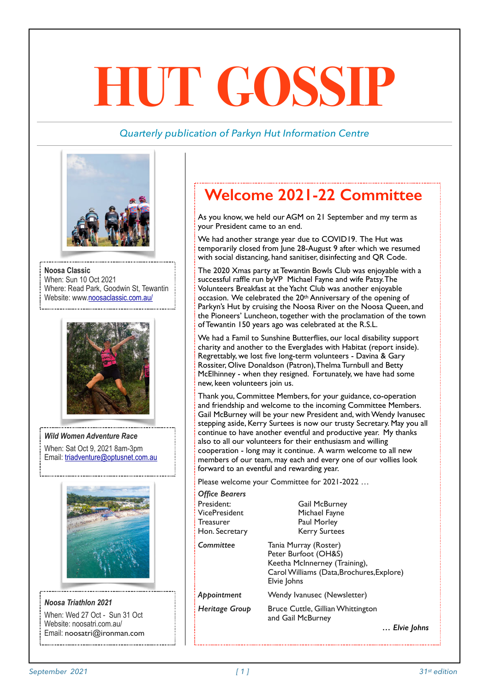# **HUT GOSSIP**

## *Quarterly publication of Parkyn Hut Information Centre*



**Noosa Classic**  When: Sun 10 Oct 2021 Where: Read Park, Goodwin St, Tewantin Website: www.noosaclassic.com.au/



*Wild Women Adventure Race*  When: Sat Oct 9, 2021 8am-3pm Email: triadventure@optusnet.com.au



*Noosa Triathlon 2021*  When: Wed 27 Oct - Sun 31 Oct Website: noosatri.com.au/ Email: noosatri@ironman.com

# **Welcome 2021-22 Committee**

As you know, we held our AGM on 21 September and my term as your President came to an end.

We had another strange year due to COVID19. The Hut was temporarily closed from June 28-August 9 after which we resumed with social distancing, hand sanitiser, disinfecting and QR Code.

The 2020 Xmas party at Tewantin Bowls Club was enjoyable with a successful raffle run byVP Michael Fayne and wife Patsy. The Volunteers Breakfast at the Yacht Club was another enjoyable occasion. We celebrated the 20th Anniversary of the opening of Parkyn's Hut by cruising the Noosa River on the Noosa Queen, and the Pioneers' Luncheon, together with the proclamation of the town of Tewantin 150 years ago was celebrated at the R.S.L.

We had a Famil to Sunshine Butterflies, our local disability support charity and another to the Everglades with Habitat (report inside). Regrettably, we lost five long-term volunteers - Davina & Gary Rossiter, Olive Donaldson (Patron), Thelma Turnbull and Betty McElhinney - when they resigned. Fortunately, we have had some new, keen volunteers join us.

Thank you, Committee Members, for your guidance, co-operation and friendship and welcome to the incoming Committee Members. Gail McBurney will be your new President and, with Wendy Ivanusec stepping aside, Kerry Surtees is now our trusty Secretary. May you all continue to have another eventful and productive year. My thanks also to all our volunteers for their enthusiasm and willing cooperation - long may it continue. A warm welcome to all new members of our team, may each and every one of our vollies look forward to an eventful and rewarding year.

Please welcome your Committee for 2021-2022 …

| <b>Office Bearers</b><br>President:<br>VicePresident<br>Treasurer<br>Hon. Secretary | <b>Gail McBurney</b><br>Michael Fayne<br>Paul Morley<br><b>Kerry Surtees</b>                                                               |
|-------------------------------------------------------------------------------------|--------------------------------------------------------------------------------------------------------------------------------------------|
| Committee                                                                           | Tania Murray (Roster)<br>Peter Burfoot (OH&S)<br>Keetha McInnerney (Training),<br>Carol Williams (Data, Brochures, Explore)<br>Elvie Johns |
| Appointment                                                                         | Wendy Ivanusec (Newsletter)                                                                                                                |
| Heritage Group                                                                      | Bruce Cuttle, Gillian Whittington<br>and Gail McBurney                                                                                     |
|                                                                                     | Elvie Johns                                                                                                                                |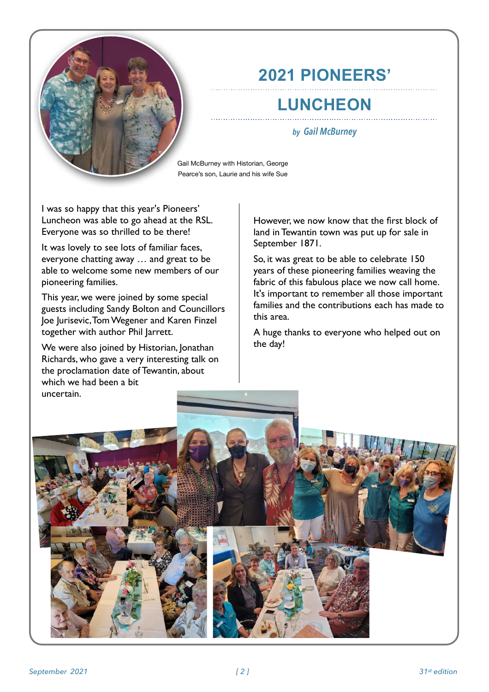

# **2021 PIONEERS'**

# **LUNCHEON**

#### *by Gail McBurney*

Gail McBurney with Historian, George Pearce's son, Laurie and his wife Sue

I was so happy that this year's Pioneers' Luncheon was able to go ahead at the RSL. Everyone was so thrilled to be there!

It was lovely to see lots of familiar faces, everyone chatting away … and great to be able to welcome some new members of our pioneering families.

This year, we were joined by some special guests including Sandy Bolton and Councillors Joe Jurisevic, Tom Wegener and Karen Finzel together with author Phil Jarrett.

We were also joined by Historian, Jonathan Richards, who gave a very interesting talk on the proclamation date of Tewantin, about which we had been a bit uncertain.

However, we now know that the first block of land in Tewantin town was put up for sale in September 1871.

So, it was great to be able to celebrate 150 years of these pioneering families weaving the fabric of this fabulous place we now call home. It's important to remember all those important families and the contributions each has made to this area.

A huge thanks to everyone who helped out on the day!

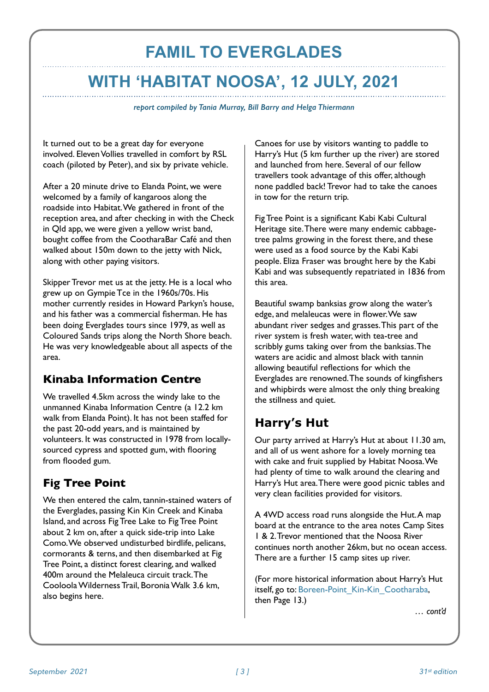# **FAMIL TO EVERGLADES WITH 'HABITAT NOOSA', 12 JULY, 2021**

*report compiled by Tania Murray, Bill Barry and Helga Thiermann*

It turned out to be a great day for everyone involved. Eleven Vollies travelled in comfort by RSL coach (piloted by Peter), and six by private vehicle.

After a 20 minute drive to Elanda Point, we were welcomed by a family of kangaroos along the roadside into Habitat. We gathered in front of the reception area, and after checking in with the Check in Qld app, we were given a yellow wrist band, bought coffee from the CootharaBar Café and then walked about 150m down to the jetty with Nick, along with other paying visitors.

Skipper Trevor met us at the jetty. He is a local who grew up on Gympie Tce in the 1960s/70s. His mother currently resides in Howard Parkyn's house, and his father was a commercial fisherman. He has been doing Everglades tours since 1979, as well as Coloured Sands trips along the North Shore beach. He was very knowledgeable about all aspects of the area.

## **Kinaba Information Centre**

We travelled 4.5km across the windy lake to the unmanned Kinaba Information Centre (a 12.2 km walk from Elanda Point). It has not been staffed for the past 20-odd years, and is maintained by volunteers. It was constructed in 1978 from locallysourced cypress and spotted gum, with flooring from flooded gum.

## **Fig Tree Point**

We then entered the calm, tannin-stained waters of the Everglades, passing Kin Kin Creek and Kinaba Island, and across Fig Tree Lake to Fig Tree Point about 2 km on, after a quick side-trip into Lake Como. We observed undisturbed birdlife, pelicans, cormorants & terns, and then disembarked at Fig Tree Point, a distinct forest clearing, and walked 400m around the Melaleuca circuit track. The Cooloola Wilderness Trail, Boronia Walk 3.6 km, also begins here.

Canoes for use by visitors wanting to paddle to Harry's Hut (5 km further up the river) are stored and launched from here. Several of our fellow travellers took advantage of this offer, although none paddled back! Trevor had to take the canoes in tow for the return trip.

Fig Tree Point is a significant Kabi Kabi Cultural Heritage site. There were many endemic cabbagetree palms growing in the forest there, and these were used as a food source by the Kabi Kabi people. Eliza Fraser was brought here by the Kabi Kabi and was subsequently repatriated in 1836 from this area.

Beautiful swamp banksias grow along the water's edge, and melaleucas were in flower. We saw abundant river sedges and grasses. This part of the river system is fresh water, with tea-tree and scribbly gums taking over from the banksias. The waters are acidic and almost black with tannin allowing beautiful reflections for which the Everglades are renowned. The sounds of kingfishers and whipbirds were almost the only thing breaking the stillness and quiet.

# **Harry's Hut**

Our party arrived at Harry's Hut at about 11.30 am, and all of us went ashore for a lovely morning tea with cake and fruit supplied by Habitat Noosa. We had plenty of time to walk around the clearing and Harry's Hut area. There were good picnic tables and very clean facilities provided for visitors.

A 4WD access road runs alongside the Hut. A map board at the entrance to the area notes Camp Sites 1 & 2. Trevor mentioned that the Noosa River continues north another 26km, but no ocean access. There are a further 15 camp sites up river.

(For more historical information about Harry's Hut itself, go to: Boreen-Point Kin-Kin Cootharaba, then Page 13.)

*… cont'd*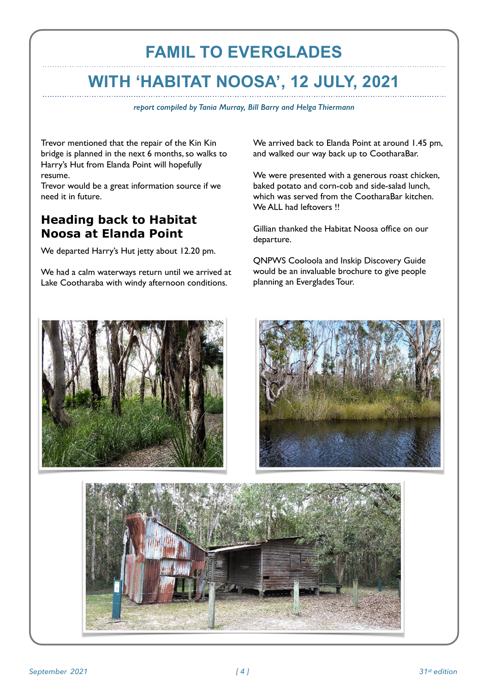# **FAMIL TO EVERGLADES**

# **WITH 'HABITAT NOOSA', 12 JULY, 2021**

*report compiled by Tania Murray, Bill Barry and Helga Thiermann*

Trevor mentioned that the repair of the Kin Kin bridge is planned in the next 6 months, so walks to Harry's Hut from Elanda Point will hopefully resume.

Trevor would be a great information source if we need it in future.

## **Heading back to Habitat Noosa at Elanda Point**

We departed Harry's Hut jetty about 12.20 pm.

We had a calm waterways return until we arrived at Lake Cootharaba with windy afternoon conditions.

We arrived back to Elanda Point at around 1.45 pm, and walked our way back up to CootharaBar.

We were presented with a generous roast chicken, baked potato and corn-cob and side-salad lunch, which was served from the CootharaBar kitchen. We ALL had leftovers !!

Gillian thanked the Habitat Noosa office on our departure.

QNPWS Cooloola and Inskip Discovery Guide would be an invaluable brochure to give people planning an Everglades Tour.





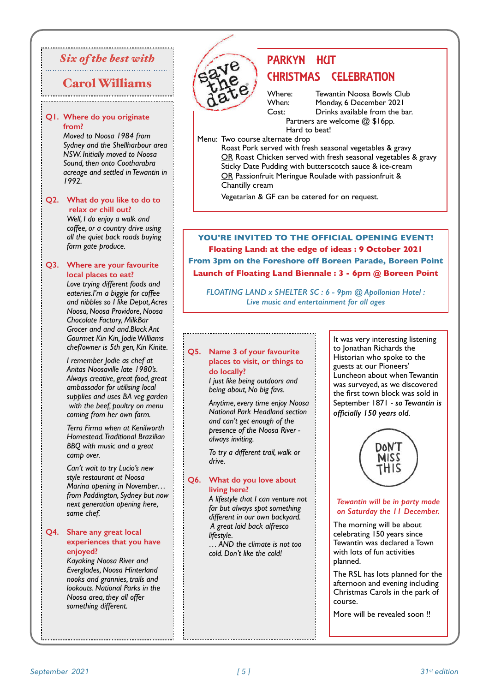### *Six of the best with*

## Carol Williams

#### **Q1. Where do you originate from?**

*Moved to Noosa 1984 from Sydney and the Shellharbour area NSW. Initially moved to Noosa Sound, then onto Cootharabra acreage and settled in Tewantin in 1992.*

#### **Q2. What do you like to do to relax or chill out?**

*Well, I do enjoy a walk and coffee, or a country drive using all the quiet back roads buying farm gate produce.*

#### **Q3. Where are your favourite local places to eat?**

*Love trying different foods and eateries.I'm a biggie for coffee and nibbles so I like Depot, Acres Noosa, Noosa Providore, Noosa Chocolate Factory, MilkBar Grocer and and and.Black Ant Gourmet Kin Kin, Jodie Williams chef/owner is 5th gen, Kin Kinite.* 

*I remember Jodie as chef at Anitas Noosaville late 1980's. Always creative, great food, great ambassador for utilising local supplies and uses BA veg garden with the beef, poultry on menu coming from her own farm.*

*Terra Firma when at Kenilworth Homestead. Traditional Brazilian BBQ with music and a great camp over.*

*Can't wait to try Lucio's new style restaurant at Noosa Marina opening in November… from Paddington, Sydney but now next generation opening here, same chef.*

#### **Q4. Share any great local experiences that you have enjoyed?**

*Kayaking Noosa River and Everglades, Noosa Hinterland nooks and grannies, trails and lookouts. National Parks in the Noosa area, they all offer something different.*

## PARKYN HUT CHRISTMAS CELEBRATION

Where: Tewantin Noosa Bowls Club<br>When: Monday 6 December 2021 When: Monday, 6 December 2021<br>Cost: Drinks available from the b Drinks available from the bar. Partners are welcome @ \$16pp. Hard to beat!

Menu: Two course alternate drop

Roast Pork served with fresh seasonal vegetables & gravy OR Roast Chicken served with fresh seasonal vegetables & gravy Sticky Date Pudding with butterscotch sauce & ice-cream OR Passionfruit Meringue Roulade with passionfruit & Chantilly cream

Vegetarian & GF can be catered for on request.

**YOU'RE INVITED TO THE OFFICIAL OPENING EVENT! Floating Land: at the edge of ideas : 9 October 2021 From 3pm on the Foreshore off Boreen Parade, Boreen Point Launch of Floating Land Biennale : 3 - 6pm @ Boreen Point**

*FLOATING LAND x SHELTER SC : 6 - 9pm @ Apollonian Hotel : Live music and entertainment for all ages*

#### **Q5. Name 3 of your favourite places to visit, or things to do locally?**

*I just like being outdoors and being about, No big favs.*

*Anytime, every time enjoy Noosa National Park Headland section and can't get enough of the presence of the Noosa River always inviting.* 

*To try a different trail, walk or drive.*

#### **Q6. What do you love about living here?**

*A lifestyle that I can venture not far but always spot something different in our own backyard. A great laid back alfresco lifestyle.* 

*… AND the climate is not too cold. Don't like the cold!*

It was very interesting listening to Jonathan Richards the Historian who spoke to the guests at our Pioneers' Luncheon about when Tewantin was surveyed, as we discovered the first town block was sold in September 1871 - *so Tewantin is officially 150 years old*.



#### *Tewantin will be in party mode on Saturday the 11 December.*

The morning will be about celebrating 150 years since Tewantin was declared a Town with lots of fun activities planned.

The RSL has lots planned for the afternoon and evening including Christmas Carols in the park of course.

More will be revealed soon !!